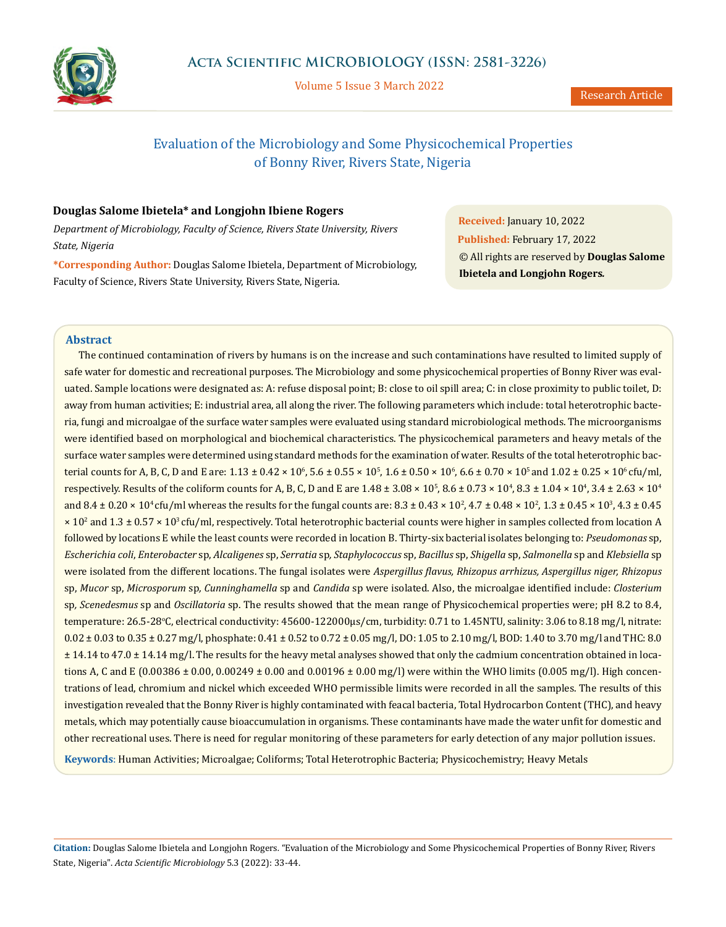

Volume 5 Issue 3 March 2022

# Evaluation of the Microbiology and Some Physicochemical Properties of Bonny River, Rivers State, Nigeria

# **Douglas Salome Ibietela\* and Longjohn Ibiene Rogers**

*Department of Microbiology, Faculty of Science, Rivers State University, Rivers State, Nigeria*

**\*Corresponding Author:** Douglas Salome Ibietela, Department of Microbiology, Faculty of Science, Rivers State University, Rivers State, Nigeria.

**Received:** January 10, 2022 **Published:** February 17, 2022 © All rights are reserved by **Douglas Salome Ibietela and Longjohn Rogers***.*

# **Abstract**

The continued contamination of rivers by humans is on the increase and such contaminations have resulted to limited supply of safe water for domestic and recreational purposes. The Microbiology and some physicochemical properties of Bonny River was evaluated. Sample locations were designated as: A: refuse disposal point; B: close to oil spill area; C: in close proximity to public toilet, D: away from human activities; E: industrial area, all along the river. The following parameters which include: total heterotrophic bacteria, fungi and microalgae of the surface water samples were evaluated using standard microbiological methods. The microorganisms were identified based on morphological and biochemical characteristics. The physicochemical parameters and heavy metals of the surface water samples were determined using standard methods for the examination of water. Results of the total heterotrophic bacterial counts for A, B, C, D and E are:  $1.13 \pm 0.42 \times 10^6$ ,  $5.6 \pm 0.55 \times 10^5$ ,  $1.6 \pm 0.50 \times 10^6$ ,  $6.6 \pm 0.70 \times 10^5$  and  $1.02 \pm 0.25 \times 10^6$  cfu/ml, respectively. Results of the coliform counts for A, B, C, D and E are  $1.48 \pm 3.08 \times 10^5$ ,  $8.6 \pm 0.73 \times 10^4$ ,  $8.3 \pm 1.04 \times 10^4$ ,  $3.4 \pm 2.63 \times 10^4$ and  $8.4 \pm 0.20 \times 10^4$  cfu/ml whereas the results for the fungal counts are:  $8.3 \pm 0.43 \times 10^2$ ,  $4.7 \pm 0.48 \times 10^2$ ,  $1.3 \pm 0.45 \times 10^3$ ,  $4.3 \pm 0.45$  $\times$  10<sup>2</sup> and 1.3 ± 0.57  $\times$  10<sup>3</sup> cfu/ml, respectively. Total heterotrophic bacterial counts were higher in samples collected from location A followed by locations E while the least counts were recorded in location B. Thirty-six bacterial isolates belonging to: *Pseudomonas* sp, *Escherichia coli*, *Enterobacter* sp, *Alcaligenes* sp, *Serratia* sp*, Staphylococcus* sp, *Bacillus* sp, *Shigella* sp, *Salmonella* sp and *Klebsiella* sp were isolated from the different locations. The fungal isolates were *Aspergillus flavus, Rhizopus arrhizus, Aspergillus niger, Rhizopus*  sp, *Mucor* sp, *Microsporum* sp*, Cunninghamella* sp and *Candida* sp were isolated. Also, the microalgae identified include: *Closterium* sp*, Scenedesmus* sp and *Oscillatoria* sp. The results showed that the mean range of Physicochemical properties were; pH 8.2 to 8.4, temperature: 26.5-28°C, electrical conductivity: 45600-122000μs/cm, turbidity: 0.71 to 1.45NTU, salinity: 3.06 to 8.18 mg/l, nitrate:  $0.02 \pm 0.03$  to  $0.35 \pm 0.27$  mg/l, phosphate:  $0.41 \pm 0.52$  to  $0.72 \pm 0.05$  mg/l, DO: 1.05 to 2.10 mg/l, BOD: 1.40 to 3.70 mg/l and THC: 8.0 ± 14.14 to 47.0 ± 14.14 mg/l. The results for the heavy metal analyses showed that only the cadmium concentration obtained in locations A, C and E (0.00386  $\pm$  0.00, 0.00249  $\pm$  0.00 and 0.00196  $\pm$  0.00 mg/l) were within the WHO limits (0.005 mg/l). High concentrations of lead, chromium and nickel which exceeded WHO permissible limits were recorded in all the samples. The results of this investigation revealed that the Bonny River is highly contaminated with feacal bacteria, Total Hydrocarbon Content (THC), and heavy metals, which may potentially cause bioaccumulation in organisms. These contaminants have made the water unfit for domestic and other recreational uses. There is need for regular monitoring of these parameters for early detection of any major pollution issues.

**Keywords**: Human Activities; Microalgae; Coliforms; Total Heterotrophic Bacteria; Physicochemistry; Heavy Metals

**Citation:** Douglas Salome Ibietela and Longjohn Rogers*.* "Evaluation of the Microbiology and Some Physicochemical Properties of Bonny River, Rivers State, Nigeria". *Acta Scientific Microbiology* 5.3 (2022): 33-44.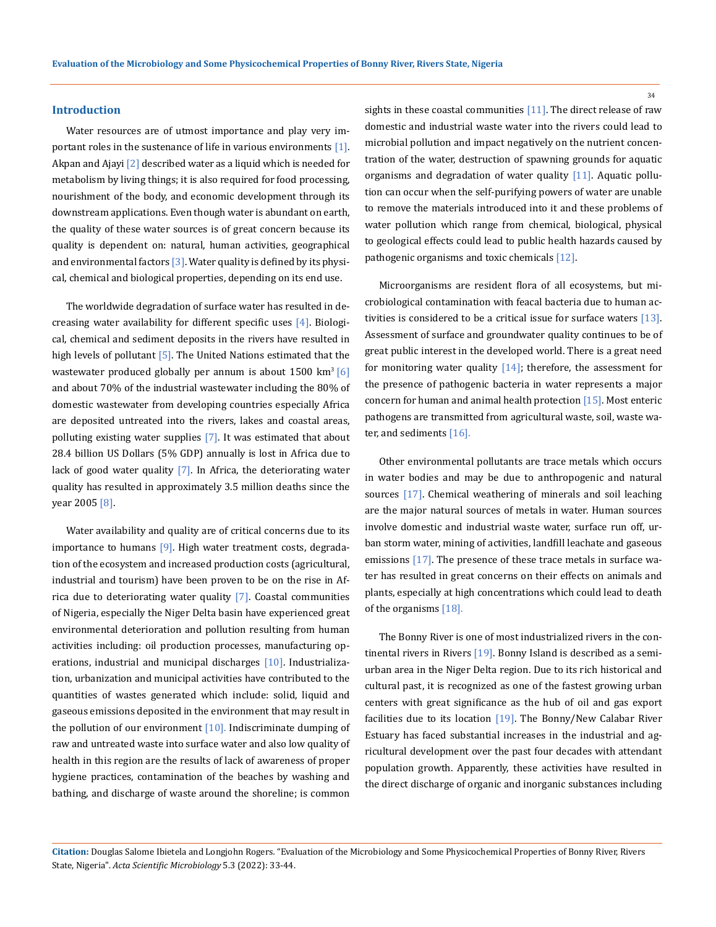### **Introduction**

Water resources are of utmost importance and play very important roles in the sustenance of life in various environments  $[1]$ . Akpan and Ajayi [2] described water as a liquid which is needed for metabolism by living things; it is also required for food processing, nourishment of the body, and economic development through its downstream applications. Even though water is abundant on earth, the quality of these water sources is of great concern because its quality is dependent on: natural, human activities, geographical and environmental factors  $[3]$ . Water quality is defined by its physical, chemical and biological properties, depending on its end use.

The worldwide degradation of surface water has resulted in decreasing water availability for different specific uses  $[4]$ . Biological, chemical and sediment deposits in the rivers have resulted in high levels of pollutant [5]. The United Nations estimated that the wastewater produced globally per annum is about  $1500 \text{ km}^3$  [6] and about 70% of the industrial wastewater including the 80% of domestic wastewater from developing countries especially Africa are deposited untreated into the rivers, lakes and coastal areas, polluting existing water supplies [7]. It was estimated that about 28.4 billion US Dollars (5% GDP) annually is lost in Africa due to lack of good water quality [7]. In Africa, the deteriorating water quality has resulted in approximately 3.5 million deaths since the year 2005 [8].

Water availability and quality are of critical concerns due to its importance to humans [9]. High water treatment costs, degradation of the ecosystem and increased production costs (agricultural, industrial and tourism) have been proven to be on the rise in Africa due to deteriorating water quality  $[7]$ . Coastal communities of Nigeria, especially the Niger Delta basin have experienced great environmental deterioration and pollution resulting from human activities including: oil production processes, manufacturing operations, industrial and municipal discharges [10]. Industrialization, urbanization and municipal activities have contributed to the quantities of wastes generated which include: solid, liquid and gaseous emissions deposited in the environment that may result in the pollution of our environment  $[10]$ . Indiscriminate dumping of raw and untreated waste into surface water and also low quality of health in this region are the results of lack of awareness of proper hygiene practices, contamination of the beaches by washing and bathing, and discharge of waste around the shoreline; is common

sights in these coastal communities  $[11]$ . The direct release of raw domestic and industrial waste water into the rivers could lead to microbial pollution and impact negatively on the nutrient concentration of the water, destruction of spawning grounds for aquatic organisms and degradation of water quality [11]. Aquatic pollution can occur when the self-purifying powers of water are unable to remove the materials introduced into it and these problems of water pollution which range from chemical, biological, physical to geological effects could lead to public health hazards caused by pathogenic organisms and toxic chemicals [12].

Microorganisms are resident flora of all ecosystems, but microbiological contamination with feacal bacteria due to human activities is considered to be a critical issue for surface waters  $[13]$ . Assessment of surface and groundwater quality continues to be of great public interest in the developed world. There is a great need for monitoring water quality  $[14]$ ; therefore, the assessment for the presence of pathogenic bacteria in water represents a major concern for human and animal health protection [15]. Most enteric pathogens are transmitted from agricultural waste, soil, waste water, and sediments [16].

Other environmental pollutants are trace metals which occurs in water bodies and may be due to anthropogenic and natural sources [17]. Chemical weathering of minerals and soil leaching are the major natural sources of metals in water. Human sources involve domestic and industrial waste water, surface run off, urban storm water, mining of activities, landfill leachate and gaseous emissions [17]. The presence of these trace metals in surface water has resulted in great concerns on their effects on animals and plants, especially at high concentrations which could lead to death of the organisms [18].

The Bonny River is one of most industrialized rivers in the continental rivers in Rivers [19]. Bonny Island is described as a semiurban area in the Niger Delta region. Due to its rich historical and cultural past, it is recognized as one of the fastest growing urban centers with great significance as the hub of oil and gas export facilities due to its location [19]. The Bonny/New Calabar River Estuary has faced substantial increases in the industrial and agricultural development over the past four decades with attendant population growth. Apparently, these activities have resulted in the direct discharge of organic and inorganic substances including

**Citation:** Douglas Salome Ibietela and Longjohn Rogers*.* "Evaluation of the Microbiology and Some Physicochemical Properties of Bonny River, Rivers State, Nigeria". *Acta Scientific Microbiology* 5.3 (2022): 33-44.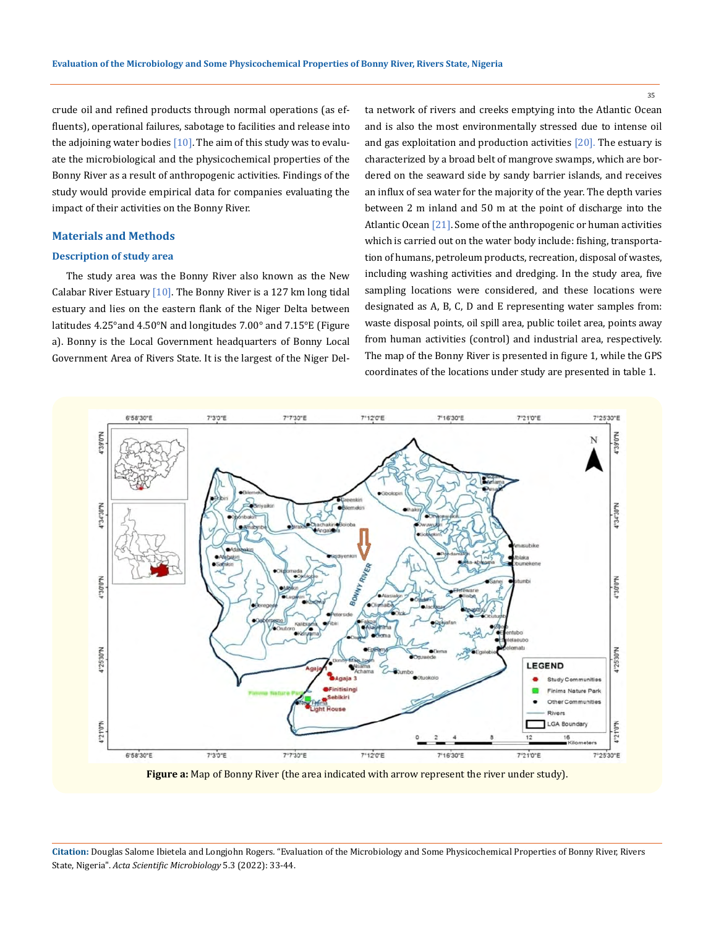crude oil and refined products through normal operations (as effluents), operational failures, sabotage to facilities and release into the adjoining water bodies  $[10]$ . The aim of this study was to evaluate the microbiological and the physicochemical properties of the Bonny River as a result of anthropogenic activities. Findings of the study would provide empirical data for companies evaluating the impact of their activities on the Bonny River.

# **Materials and Methods**

### **Description of study area**

The study area was the Bonny River also known as the New Calabar River Estuary  $[10]$ . The Bonny River is a 127 km long tidal estuary and lies on the eastern flank of the Niger Delta between latitudes 4.25°and 4.50°N and longitudes 7.00° and 7.15°E (Figure a). Bonny is the Local Government headquarters of Bonny Local Government Area of Rivers State. It is the largest of the Niger Delta network of rivers and creeks emptying into the Atlantic Ocean and is also the most environmentally stressed due to intense oil and gas exploitation and production activities  $[20]$ . The estuary is characterized by a broad belt of mangrove swamps, which are bordered on the seaward side by sandy barrier islands, and receives an influx of sea water for the majority of the year. The depth varies between 2 m inland and 50 m at the point of discharge into the Atlantic Ocean [21]. Some of the anthropogenic or human activities which is carried out on the water body include: fishing, transportation of humans, petroleum products, recreation, disposal of wastes, including washing activities and dredging. In the study area, five sampling locations were considered, and these locations were designated as A, B, C, D and E representing water samples from: waste disposal points, oil spill area, public toilet area, points away from human activities (control) and industrial area, respectively. The map of the Bonny River is presented in figure 1, while the GPS coordinates of the locations under study are presented in table 1.



**Figure a:** Map of Bonny River (the area indicated with arrow represent the river under study).

**Citation:** Douglas Salome Ibietela and Longjohn Rogers*.* "Evaluation of the Microbiology and Some Physicochemical Properties of Bonny River, Rivers State, Nigeria". *Acta Scientific Microbiology* 5.3 (2022): 33-44.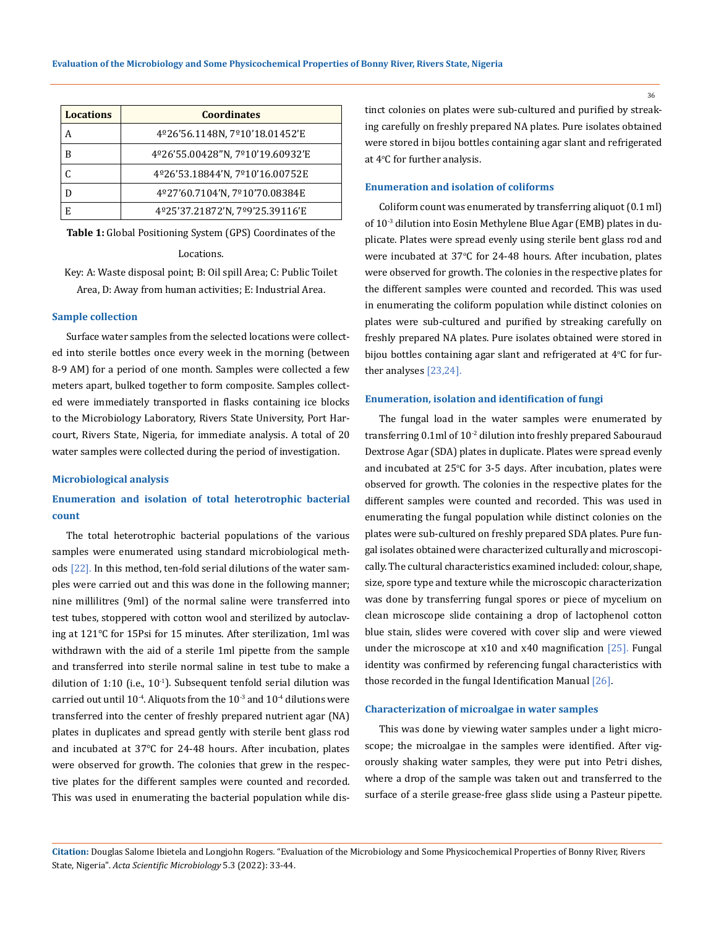| <b>Locations</b> | <b>Coordinates</b>               |  |  |  |  |  |
|------------------|----------------------------------|--|--|--|--|--|
| А                | 4º26'56.1148N, 7º10'18.01452'E   |  |  |  |  |  |
| B                | 4º26'55.00428"N, 7º10'19.60932'E |  |  |  |  |  |
|                  | 4º26'53.18844'N, 7º10'16.00752E  |  |  |  |  |  |
|                  | 4º27'60.7104'N, 7º10'70.08384E   |  |  |  |  |  |
| E                | 4º25'37.21872'N, 7º9'25.39116'E  |  |  |  |  |  |

**Table 1:** Global Positioning System (GPS) Coordinates of the

### Locations.

Key: A: Waste disposal point; B: Oil spill Area; C: Public Toilet Area, D: Away from human activities; E: Industrial Area.

#### **Sample collection**

Surface water samples from the selected locations were collected into sterile bottles once every week in the morning (between 8-9 AM) for a period of one month. Samples were collected a few meters apart, bulked together to form composite. Samples collected were immediately transported in flasks containing ice blocks to the Microbiology Laboratory, Rivers State University, Port Harcourt, Rivers State, Nigeria, for immediate analysis. A total of 20 water samples were collected during the period of investigation.

#### **Microbiological analysis**

# **Enumeration and isolation of total heterotrophic bacterial count**

The total heterotrophic bacterial populations of the various samples were enumerated using standard microbiological methods [22]. In this method, ten-fold serial dilutions of the water samples were carried out and this was done in the following manner; nine millilitres (9ml) of the normal saline were transferred into test tubes, stoppered with cotton wool and sterilized by autoclaving at 121℃ for 15Psi for 15 minutes. After sterilization, 1ml was withdrawn with the aid of a sterile 1ml pipette from the sample and transferred into sterile normal saline in test tube to make a dilution of 1:10 (i.e.,  $10^{-1}$ ). Subsequent tenfold serial dilution was carried out until  $10^{-4}$ . Aliquots from the  $10^{-3}$  and  $10^{-4}$  dilutions were transferred into the center of freshly prepared nutrient agar (NA) plates in duplicates and spread gently with sterile bent glass rod and incubated at 37℃ for 24-48 hours. After incubation, plates were observed for growth. The colonies that grew in the respective plates for the different samples were counted and recorded. This was used in enumerating the bacterial population while distinct colonies on plates were sub-cultured and purified by streaking carefully on freshly prepared NA plates. Pure isolates obtained were stored in bijou bottles containing agar slant and refrigerated at 4<sup>o</sup> C for further analysis.

# **Enumeration and isolation of coliforms**

Coliform count was enumerated by transferring aliquot (0.1 ml) of 10<sup>-3</sup> dilution into Eosin Methylene Blue Agar (EMB) plates in duplicate. Plates were spread evenly using sterile bent glass rod and were incubated at 37°C for 24-48 hours. After incubation, plates were observed for growth. The colonies in the respective plates for the different samples were counted and recorded. This was used in enumerating the coliform population while distinct colonies on plates were sub-cultured and purified by streaking carefully on freshly prepared NA plates. Pure isolates obtained were stored in bijou bottles containing agar slant and refrigerated at  $4^{\circ}$ C for further analyses [23,24].

## **Enumeration, isolation and identification of fungi**

The fungal load in the water samples were enumerated by transferring  $0.1$ ml of  $10^{-2}$  dilution into freshly prepared Sabouraud Dextrose Agar (SDA) plates in duplicate. Plates were spread evenly and incubated at 25°C for 3-5 days. After incubation, plates were observed for growth. The colonies in the respective plates for the different samples were counted and recorded. This was used in enumerating the fungal population while distinct colonies on the plates were sub-cultured on freshly prepared SDA plates. Pure fungal isolates obtained were characterized culturally and microscopically. The cultural characteristics examined included: colour, shape, size, spore type and texture while the microscopic characterization was done by transferring fungal spores or piece of mycelium on clean microscope slide containing a drop of lactophenol cotton blue stain, slides were covered with cover slip and were viewed under the microscope at  $x10$  and  $x40$  magnification [25]. Fungal identity was confirmed by referencing fungal characteristics with those recorded in the fungal Identification Manual [26].

#### **Characterization of microalgae in water samples**

This was done by viewing water samples under a light microscope; the microalgae in the samples were identified. After vigorously shaking water samples, they were put into Petri dishes, where a drop of the sample was taken out and transferred to the surface of a sterile grease-free glass slide using a Pasteur pipette.

**Citation:** Douglas Salome Ibietela and Longjohn Rogers*.* "Evaluation of the Microbiology and Some Physicochemical Properties of Bonny River, Rivers State, Nigeria". *Acta Scientific Microbiology* 5.3 (2022): 33-44.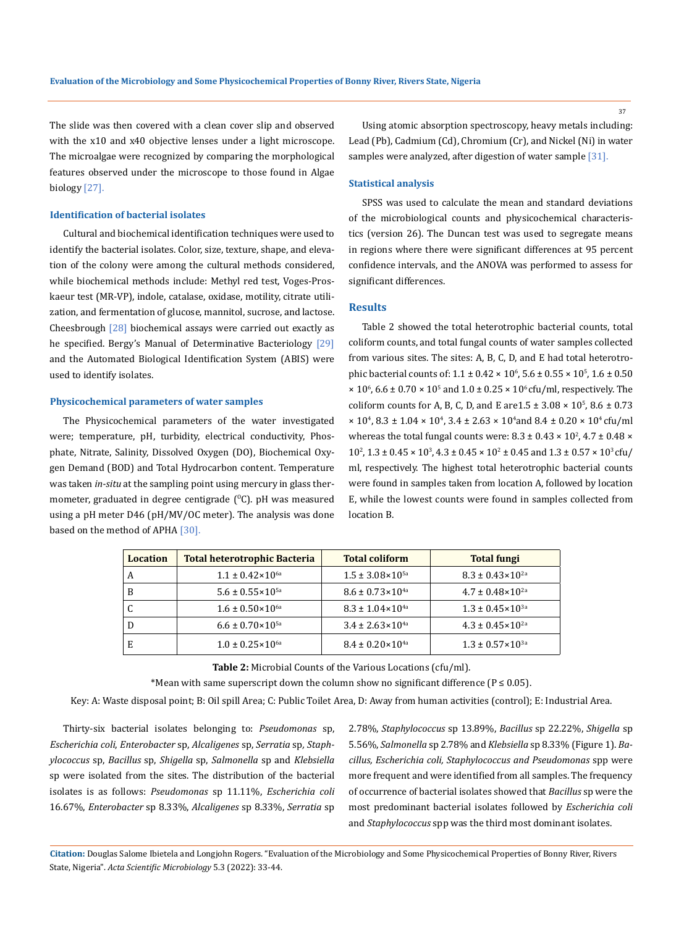The slide was then covered with a clean cover slip and observed with the x10 and x40 objective lenses under a light microscope. The microalgae were recognized by comparing the morphological features observed under the microscope to those found in Algae biology [27].

#### **Identification of bacterial isolates**

Cultural and biochemical identification techniques were used to identify the bacterial isolates. Color, size, texture, shape, and elevation of the colony were among the cultural methods considered, while biochemical methods include: Methyl red test, Voges-Proskaeur test (MR-VP), indole, catalase, oxidase, motility, citrate utilization, and fermentation of glucose, mannitol, sucrose, and lactose. Cheesbrough  $[28]$  biochemical assays were carried out exactly as he specified. Bergy's Manual of Determinative Bacteriology [29] and the Automated Biological Identification System (ABIS) were used to identify isolates.

# **Physicochemical parameters of water samples**

The Physicochemical parameters of the water investigated were; temperature, pH, turbidity, electrical conductivity, Phosphate, Nitrate, Salinity, Dissolved Oxygen (DO), Biochemical Oxygen Demand (BOD) and Total Hydrocarbon content. Temperature was taken *in-situ* at the sampling point using mercury in glass thermometer, graduated in degree centigrade  $(^{0}C)$ . pH was measured using a pH meter D46 (pH/MV/OC meter). The analysis was done based on the method of APHA [30].

Using atomic absorption spectroscopy, heavy metals including: Lead (Pb), Cadmium (Cd), Chromium (Cr), and Nickel (Ni) in water samples were analyzed, after digestion of water sample [31].

#### **Statistical analysis**

SPSS was used to calculate the mean and standard deviations of the microbiological counts and physicochemical characteristics (version 26). The Duncan test was used to segregate means in regions where there were significant differences at 95 percent confidence intervals, and the ANOVA was performed to assess for significant differences.

# **Results**

Table 2 showed the total heterotrophic bacterial counts, total coliform counts, and total fungal counts of water samples collected from various sites. The sites: A, B, C, D, and E had total heterotrophic bacterial counts of:  $1.1 \pm 0.42 \times 10^6$ ,  $5.6 \pm 0.55 \times 10^5$ ,  $1.6 \pm 0.50$  $\times$  10<sup>6</sup>, 6.6 ± 0.70  $\times$  10<sup>5</sup> and 1.0 ± 0.25  $\times$  10<sup>6</sup> cfu/ml, respectively. The coliform counts for A, B, C, D, and E are  $1.5 \pm 3.08 \times 10^5$ ,  $8.6 \pm 0.73$  $\times$  10<sup>4</sup>, 8.3 ± 1.04  $\times$  10<sup>4</sup>, 3.4 ± 2.63  $\times$  10<sup>4</sup> and 8.4 ± 0.20  $\times$  10<sup>4</sup> cfu/ml whereas the total fungal counts were:  $8.3 \pm 0.43 \times 10^2$ ,  $4.7 \pm 0.48 \times$  $10^2$ ,  $1.3 \pm 0.45 \times 10^3$ ,  $4.3 \pm 0.45 \times 10^2 \pm 0.45$  and  $1.3 \pm 0.57 \times 10^3$  cfu/ ml, respectively. The highest total heterotrophic bacterial counts were found in samples taken from location A, followed by location E, while the lowest counts were found in samples collected from location B.

| <b>Location</b> | <b>Total heterotrophic Bacteria</b> | <b>Total coliform</b>         | <b>Total fungi</b>            |  |
|-----------------|-------------------------------------|-------------------------------|-------------------------------|--|
| A               | $1.1 \pm 0.42 \times 10^{6a}$       | $1.5 \pm 3.08 \times 10^{5a}$ | $8.3 \pm 0.43 \times 10^{2a}$ |  |
| B               | $5.6 \pm 0.55 \times 10^{5a}$       | $8.6 \pm 0.73 \times 10^{4a}$ | $4.7 \pm 0.48 \times 10^{2a}$ |  |
| C               | $1.6 \pm 0.50 \times 10^{6a}$       | $8.3 \pm 1.04 \times 10^{4a}$ | $1.3 \pm 0.45 \times 10^{3a}$ |  |
| D               | $6.6 \pm 0.70 \times 10^{5a}$       | $3.4 \pm 2.63 \times 10^{4a}$ | $4.3 \pm 0.45 \times 10^{2a}$ |  |
| E               | $1.0 \pm 0.25 \times 10^{6a}$       | $8.4 \pm 0.20 \times 10^{4a}$ | $1.3 \pm 0.57 \times 10^{3a}$ |  |

**Table 2:** Microbial Counts of the Various Locations (cfu/ml).

\*Mean with same superscript down the column show no significant difference ( $P \le 0.05$ ).

Key: A: Waste disposal point; B: Oil spill Area; C: Public Toilet Area, D: Away from human activities (control); E: Industrial Area.

Thirty-six bacterial isolates belonging to: *Pseudomonas* sp, *Escherichia coli*, *Enterobacter* sp, *Alcaligenes* sp, *Serratia* sp*, Staphylococcus* sp, *Bacillus* sp, *Shigella* sp, *Salmonella* sp and *Klebsiella* sp were isolated from the sites. The distribution of the bacterial isolates is as follows: *Pseudomonas* sp 11.11%, *Escherichia coli* 16.67%, *Enterobacter* sp 8.33%, *Alcaligenes* sp 8.33%, *Serratia* sp 2.78%, *Staphylococcus* sp 13.89%, *Bacillus* sp 22.22%, *Shigella* sp 5.56%, *Salmonella* sp 2.78% and *Klebsiella* sp 8.33% (Figure 1). *Bacillus, Escherichia coli, Staphylococcus and Pseudomonas* spp were more frequent and were identified from all samples. The frequency of occurrence of bacterial isolates showed that *Bacillus* sp were the most predominant bacterial isolates followed by *Escherichia coli* and *Staphylococcus* spp was the third most dominant isolates.

**Citation:** Douglas Salome Ibietela and Longjohn Rogers*.* "Evaluation of the Microbiology and Some Physicochemical Properties of Bonny River, Rivers State, Nigeria". *Acta Scientific Microbiology* 5.3 (2022): 33-44.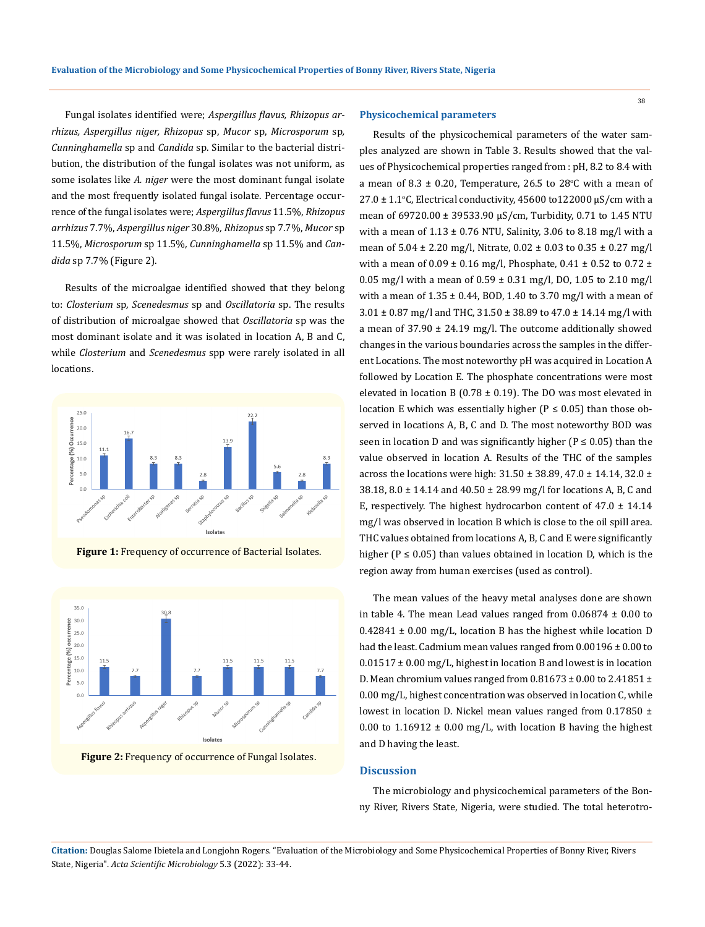Fungal isolates identified were; *Aspergillus flavus, Rhizopus arrhizus, Aspergillus niger, Rhizopus* sp, *Mucor* sp, *Microsporum* sp*, Cunninghamella* sp and *Candida* sp. Similar to the bacterial distribution, the distribution of the fungal isolates was not uniform, as some isolates like *A. niger* were the most dominant fungal isolate and the most frequently isolated fungal isolate. Percentage occurrence of the fungal isolates were; *Aspergillus flavus* 11.5%, *Rhizopus arrhizus* 7.7%, *Aspergillus niger* 30.8%*, Rhizopus* sp 7.7%, *Mucor* sp 11.5%, *Microsporum* sp 11.5%*, Cunninghamella* sp 11.5% and *Candida* sp 7.7% (Figure 2).

Results of the microalgae identified showed that they belong to: *Closterium* sp*, Scenedesmus* sp and *Oscillatoria* sp. The results of distribution of microalgae showed that *Oscillatoria* sp was the most dominant isolate and it was isolated in location A, B and C, while *Closterium* and *Scenedesmus* spp were rarely isolated in all locations.



**Figure 1:** Frequency of occurrence of Bacterial Isolates.



**Figure 2:** Frequency of occurrence of Fungal Isolates.

# **Physicochemical parameters**

Results of the physicochemical parameters of the water samples analyzed are shown in Table 3. Results showed that the values of Physicochemical properties ranged from : pH, 8.2 to 8.4 with a mean of 8.3  $\pm$  0.20, Temperature, 26.5 to 28°C with a mean of  $27.0 \pm 1.1$ °C, Electrical conductivity, 45600 to $122000$   $\mu$ S/cm with a mean of 69720.00 ± 39533.90 µS/cm, Turbidity, 0.71 to 1.45 NTU with a mean of  $1.13 \pm 0.76$  NTU, Salinity, 3.06 to 8.18 mg/l with a mean of 5.04 ± 2.20 mg/l, Nitrate, 0.02 ± 0.03 to 0.35 ± 0.27 mg/l with a mean of  $0.09 \pm 0.16$  mg/l, Phosphate,  $0.41 \pm 0.52$  to  $0.72 \pm 0.16$ 0.05 mg/l with a mean of  $0.59 \pm 0.31$  mg/l, DO, 1.05 to 2.10 mg/l with a mean of  $1.35 \pm 0.44$ , BOD, 1.40 to 3.70 mg/l with a mean of 3.01 ± 0.87 mg/l and THC, 31.50 ± 38.89 to 47.0 ± 14.14 mg/l with a mean of  $37.90 \pm 24.19$  mg/l. The outcome additionally showed changes in the various boundaries across the samples in the different Locations. The most noteworthy pH was acquired in Location A followed by Location E. The phosphate concentrations were most elevated in location B (0.78  $\pm$  0.19). The DO was most elevated in location E which was essentially higher ( $P \le 0.05$ ) than those observed in locations A, B, C and D. The most noteworthy BOD was seen in location D and was significantly higher ( $P \le 0.05$ ) than the value observed in location A. Results of the THC of the samples across the locations were high:  $31.50 \pm 38.89$ ,  $47.0 \pm 14.14$ ,  $32.0 \pm 14.14$ 38.18, 8.0 ± 14.14 and 40.50 ± 28.99 mg/l for locations A, B, C and E, respectively. The highest hydrocarbon content of  $47.0 \pm 14.14$ mg/l was observed in location B which is close to the oil spill area. THC values obtained from locations A, B, C and E were significantly higher ( $P \le 0.05$ ) than values obtained in location D, which is the region away from human exercises (used as control).

The mean values of the heavy metal analyses done are shown in table 4. The mean Lead values ranged from  $0.06874 \pm 0.00$  to  $0.42841 \pm 0.00$  mg/L, location B has the highest while location D had the least. Cadmium mean values ranged from 0.00196 ± 0.00 to  $0.01517 \pm 0.00$  mg/L, highest in location B and lowest is in location D. Mean chromium values ranged from  $0.81673 \pm 0.00$  to  $2.41851 \pm$ 0.00 mg/L, highest concentration was observed in location C, while lowest in location D. Nickel mean values ranged from 0.17850 ± 0.00 to 1.16912  $\pm$  0.00 mg/L, with location B having the highest and D having the least.

#### **Discussion**

The microbiology and physicochemical parameters of the Bonny River, Rivers State, Nigeria, were studied. The total heterotro-

**Citation:** Douglas Salome Ibietela and Longjohn Rogers*.* "Evaluation of the Microbiology and Some Physicochemical Properties of Bonny River, Rivers State, Nigeria". *Acta Scientific Microbiology* 5.3 (2022): 33-44.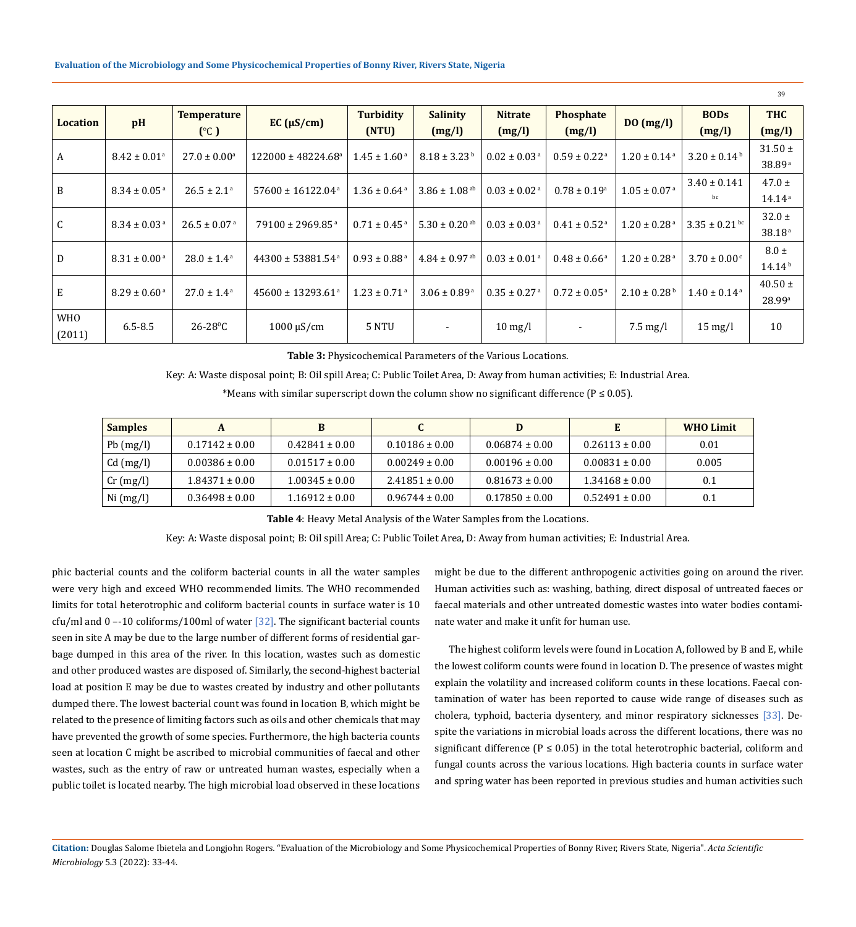| <b>Location</b> | pH                               | <b>Temperature</b>                                             | EC (µS/cm)                        | <b>Turbidity</b>             | <b>Salinity</b>               | <b>Nitrate</b>               | Phosphate                    |                              |                              | <b>BODs</b>        | <b>THC</b> |
|-----------------|----------------------------------|----------------------------------------------------------------|-----------------------------------|------------------------------|-------------------------------|------------------------------|------------------------------|------------------------------|------------------------------|--------------------|------------|
|                 |                                  | (C)                                                            |                                   | (NTU)                        | (mg/l)                        | (mg/l)                       | (mg/l)                       | DO(mg/l)                     | (mg/l)                       | (mg/l)             |            |
|                 |                                  | $27.0 \pm 0.00^{\circ}$                                        | $122000 \pm 48224.68^{\circ}$     | $1.45 \pm 1.60^{\text{ a}}$  | $8.18 \pm 3.23^{\mathrm{b}}$  | $0.02 \pm 0.03$ <sup>a</sup> | $0.59 \pm 0.22$ <sup>a</sup> | $1.20 \pm 0.14$ <sup>a</sup> | $3.20 \pm 0.14^{\mathrm{b}}$ | $31.50 \pm$        |            |
| A               | $8.42 \pm 0.01$ <sup>a</sup>     |                                                                |                                   |                              |                               |                              |                              |                              |                              | 38.89 <sup>a</sup> |            |
|                 | B<br>$8.34 \pm 0.05^{\text{a}}$  | $26.5 \pm 2.1^{\circ}$                                         | $57600 \pm 16122.04$ <sup>a</sup> | $1.36 \pm 0.64$ <sup>a</sup> | $3.86 \pm 1.08$ <sup>ab</sup> | $0.03 \pm 0.02$ <sup>a</sup> | $0.78 \pm 0.19^{\circ}$      | $1.05 \pm 0.07$ <sup>a</sup> | $3.40 \pm 0.141$             | $47.0 \pm$         |            |
|                 |                                  |                                                                |                                   |                              |                               |                              |                              |                              | bc                           | 14.14a             |            |
|                 |                                  |                                                                |                                   |                              |                               |                              |                              |                              | $32.0 \pm$                   |                    |            |
| C               | $8.34 \pm 0.03$ <sup>a</sup>     | $26.5 \pm 0.07$ <sup>a</sup>                                   | $79100 \pm 2969.85$ <sup>a</sup>  | $0.71 \pm 0.45$ <sup>a</sup> | 5.30 $\pm$ 0.20 <sup>ab</sup> | $0.03 \pm 0.03$ <sup>a</sup> | $0.41 \pm 0.52$ <sup>a</sup> | $1.20 \pm 0.28$ <sup>a</sup> | $3.35 \pm 0.21$ bc           | 38.18 <sup>a</sup> |            |
|                 | D<br>$8.31 \pm 0.00^{\text{ a}}$ | $28.0 \pm 1.4^{\text{a}}$<br>$44300 \pm 53881.54$ <sup>a</sup> |                                   | $0.93 \pm 0.88$ <sup>a</sup> | $4.84 \pm 0.97$ <sup>ab</sup> | $0.03 \pm 0.01^{\text{ a}}$  | $0.48 \pm 0.66^{\text{ a}}$  | $1.20 \pm 0.28$ <sup>a</sup> |                              | $8.0 \pm$          |            |
|                 |                                  |                                                                |                                   |                              |                               |                              |                              |                              | $3.70 \pm 0.00$ <sup>c</sup> | $14.14^{b}$        |            |
|                 |                                  | $27.0 \pm 1.4^{\text{a}}$                                      | $45600 \pm 13293.61^{\circ}$      | $1.23 \pm 0.71$ <sup>a</sup> | $3.06 \pm 0.89^{\text{a}}$    | $0.35 \pm 0.27$ <sup>a</sup> | $0.72 \pm 0.05$ <sup>a</sup> | $2.10 \pm 0.28^{\mathrm{b}}$ | $1.40 \pm 0.14$ <sup>a</sup> | $40.50 \pm$        |            |
| E               | $8.29 \pm 0.60^{\text{ a}}$      |                                                                |                                   |                              |                               |                              |                              |                              |                              | 28.99a             |            |
| <b>WHO</b>      |                                  |                                                                |                                   |                              |                               |                              |                              |                              |                              |                    |            |
| (2011)          | $6.5 - 8.5$                      | $26 - 28$ <sup>o</sup> C                                       | $1000 \mu S/cm$                   | 5 NTU                        |                               | $10 \text{ mg/l}$            |                              | $7.5 \text{ mg/l}$           | $15 \text{ mg/l}$            | 10                 |            |

**Table 3:** Physicochemical Parameters of the Various Locations.

Key: A: Waste disposal point; B: Oil spill Area; C: Public Toilet Area, D: Away from human activities; E: Industrial Area.

\*Means with similar superscript down the column show no significant difference ( $P \le 0.05$ ).

| <b>Samples</b> |                    |                    |                    | D                  |                    | <b>WHO Limit</b> |
|----------------|--------------------|--------------------|--------------------|--------------------|--------------------|------------------|
| $Pb$ (mg/l)    | $0.17142 \pm 0.00$ | $0.42841 \pm 0.00$ | $0.10186 \pm 0.00$ | $0.06874 \pm 0.00$ | $0.26113 \pm 0.00$ | 0.01             |
| Cd (mg/l)      | $0.00386 \pm 0.00$ | $0.01517 \pm 0.00$ | $0.00249 \pm 0.00$ | $0.00196 \pm 0.00$ | $0.00831 \pm 0.00$ | 0.005            |
| $Cr$ (mg/l)    | $1.84371 \pm 0.00$ | $1.00345 \pm 0.00$ | $2.41851 \pm 0.00$ | $0.81673 \pm 0.00$ | $1.34168 \pm 0.00$ | 0.1              |
| Ni (mg/l)      | $0.36498 \pm 0.00$ | $1.16912 \pm 0.00$ | $0.96744 \pm 0.00$ | $0.17850 \pm 0.00$ | $0.52491 \pm 0.00$ | 0.1              |

**Table 4**: Heavy Metal Analysis of the Water Samples from the Locations.

Key: A: Waste disposal point; B: Oil spill Area; C: Public Toilet Area, D: Away from human activities; E: Industrial Area.

phic bacterial counts and the coliform bacterial counts in all the water samples were very high and exceed WHO recommended limits. The WHO recommended limits for total heterotrophic and coliform bacterial counts in surface water is 10 cfu/ml and  $0 - 10$  coliforms/100ml of water [32]. The significant bacterial counts seen in site A may be due to the large number of different forms of residential garbage dumped in this area of the river. In this location, wastes such as domestic and other produced wastes are disposed of. Similarly, the second-highest bacterial load at position E may be due to wastes created by industry and other pollutants dumped there. The lowest bacterial count was found in location B, which might be related to the presence of limiting factors such as oils and other chemicals that may have prevented the growth of some species. Furthermore, the high bacteria counts seen at location C might be ascribed to microbial communities of faecal and other wastes, such as the entry of raw or untreated human wastes, especially when a public toilet is located nearby. The high microbial load observed in these locations might be due to the different anthropogenic activities going on around the river. Human activities such as: washing, bathing, direct disposal of untreated faeces or faecal materials and other untreated domestic wastes into water bodies contaminate water and make it unfit for human use.

39

The highest coliform levels were found in Location A, followed by B and E, while the lowest coliform counts were found in location D. The presence of wastes might explain the volatility and increased coliform counts in these locations. Faecal contamination of water has been reported to cause wide range of diseases such as cholera, typhoid, bacteria dysentery, and minor respiratory sicknesses [33]. Despite the variations in microbial loads across the different locations, there was no significant difference ( $P \le 0.05$ ) in the total heterotrophic bacterial, coliform and fungal counts across the various locations. High bacteria counts in surface water and spring water has been reported in previous studies and human activities such

**Citation:** Douglas Salome Ibietela and Longjohn Rogers*.* "Evaluation of the Microbiology and Some Physicochemical Properties of Bonny River, Rivers State, Nigeria". *Acta Scientific Microbiology* 5.3 (2022): 33-44.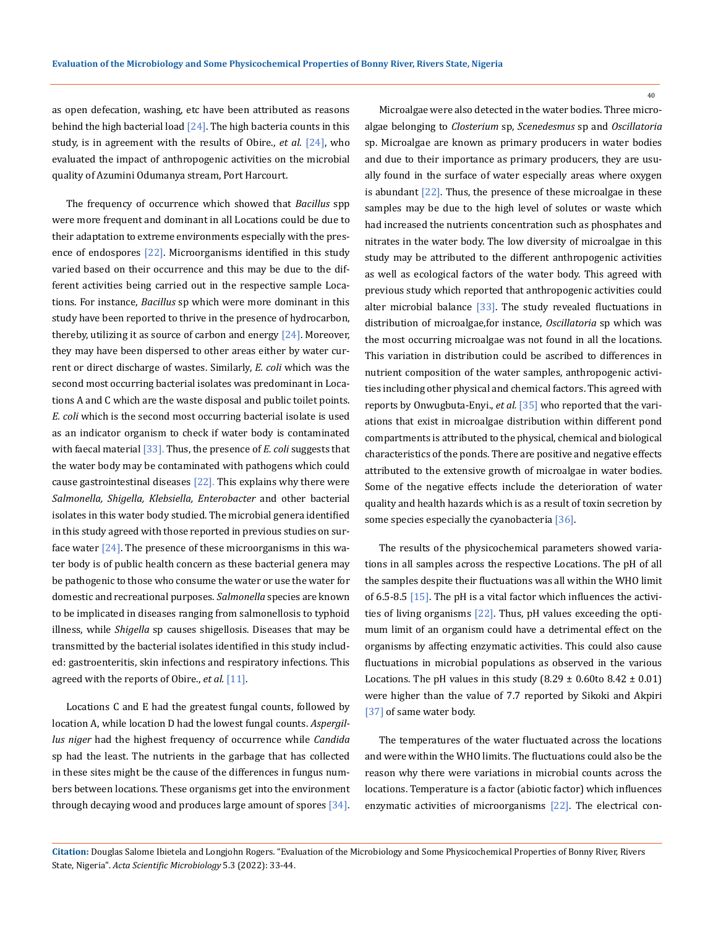as open defecation, washing, etc have been attributed as reasons behind the high bacterial load  $[24]$ . The high bacteria counts in this study, is in agreement with the results of Obire., *et al*. [24], who evaluated the impact of anthropogenic activities on the microbial quality of Azumini Odumanya stream, Port Harcourt.

The frequency of occurrence which showed that *Bacillus* spp were more frequent and dominant in all Locations could be due to their adaptation to extreme environments especially with the presence of endospores [22]. Microorganisms identified in this study varied based on their occurrence and this may be due to the different activities being carried out in the respective sample Locations. For instance, *Bacillus* sp which were more dominant in this study have been reported to thrive in the presence of hydrocarbon, thereby, utilizing it as source of carbon and energy  $[24]$ . Moreover, they may have been dispersed to other areas either by water current or direct discharge of wastes. Similarly, *E. coli* which was the second most occurring bacterial isolates was predominant in Locations A and C which are the waste disposal and public toilet points. *E. coli* which is the second most occurring bacterial isolate is used as an indicator organism to check if water body is contaminated with faecal material [33]. Thus, the presence of *E. coli* suggests that the water body may be contaminated with pathogens which could cause gastrointestinal diseases  $[22]$ . This explains why there were *Salmonella, Shigella, Klebsiella, Enterobacter* and other bacterial isolates in this water body studied. The microbial genera identified in this study agreed with those reported in previous studies on surface water  $[24]$ . The presence of these microorganisms in this water body is of public health concern as these bacterial genera may be pathogenic to those who consume the water or use the water for domestic and recreational purposes. *Salmonella* species are known to be implicated in diseases ranging from salmonellosis to typhoid illness, while *Shigella* sp causes shigellosis. Diseases that may be transmitted by the bacterial isolates identified in this study included: gastroenteritis, skin infections and respiratory infections. This agreed with the reports of Obire., *et al.* [11].

Locations C and E had the greatest fungal counts, followed by location A, while location D had the lowest fungal counts. *Aspergillus niger* had the highest frequency of occurrence while *Candida* sp had the least. The nutrients in the garbage that has collected in these sites might be the cause of the differences in fungus numbers between locations. These organisms get into the environment through decaying wood and produces large amount of spores [34].

Microalgae were also detected in the water bodies. Three microalgae belonging to *Closterium* sp, *Scenedesmus* sp and *Oscillatoria* sp. Microalgae are known as primary producers in water bodies and due to their importance as primary producers, they are usually found in the surface of water especially areas where oxygen is abundant [22]. Thus, the presence of these microalgae in these samples may be due to the high level of solutes or waste which had increased the nutrients concentration such as phosphates and nitrates in the water body. The low diversity of microalgae in this study may be attributed to the different anthropogenic activities as well as ecological factors of the water body. This agreed with previous study which reported that anthropogenic activities could alter microbial balance [33]. The study revealed fluctuations in distribution of microalgae,for instance, *Oscillatoria* sp which was the most occurring microalgae was not found in all the locations. This variation in distribution could be ascribed to differences in nutrient composition of the water samples, anthropogenic activities including other physical and chemical factors. This agreed with reports by Onwugbuta-Enyi., *et al.* [35] who reported that the variations that exist in microalgae distribution within different pond compartments is attributed to the physical, chemical and biological characteristics of the ponds. There are positive and negative effects attributed to the extensive growth of microalgae in water bodies. Some of the negative effects include the deterioration of water quality and health hazards which is as a result of toxin secretion by some species especially the cyanobacteria [36].

The results of the physicochemical parameters showed variations in all samples across the respective Locations. The pH of all the samples despite their fluctuations was all within the WHO limit of 6.5-8.5 [15]. The pH is a vital factor which influences the activities of living organisms [22]. Thus, pH values exceeding the optimum limit of an organism could have a detrimental effect on the organisms by affecting enzymatic activities. This could also cause fluctuations in microbial populations as observed in the various Locations. The pH values in this study  $(8.29 \pm 0.60$  to  $8.42 \pm 0.01)$ were higher than the value of 7.7 reported by Sikoki and Akpiri [37] of same water body.

The temperatures of the water fluctuated across the locations and were within the WHO limits. The fluctuations could also be the reason why there were variations in microbial counts across the locations. Temperature is a factor (abiotic factor) which influences enzymatic activities of microorganisms [22]. The electrical con-

**Citation:** Douglas Salome Ibietela and Longjohn Rogers*.* "Evaluation of the Microbiology and Some Physicochemical Properties of Bonny River, Rivers State, Nigeria". *Acta Scientific Microbiology* 5.3 (2022): 33-44.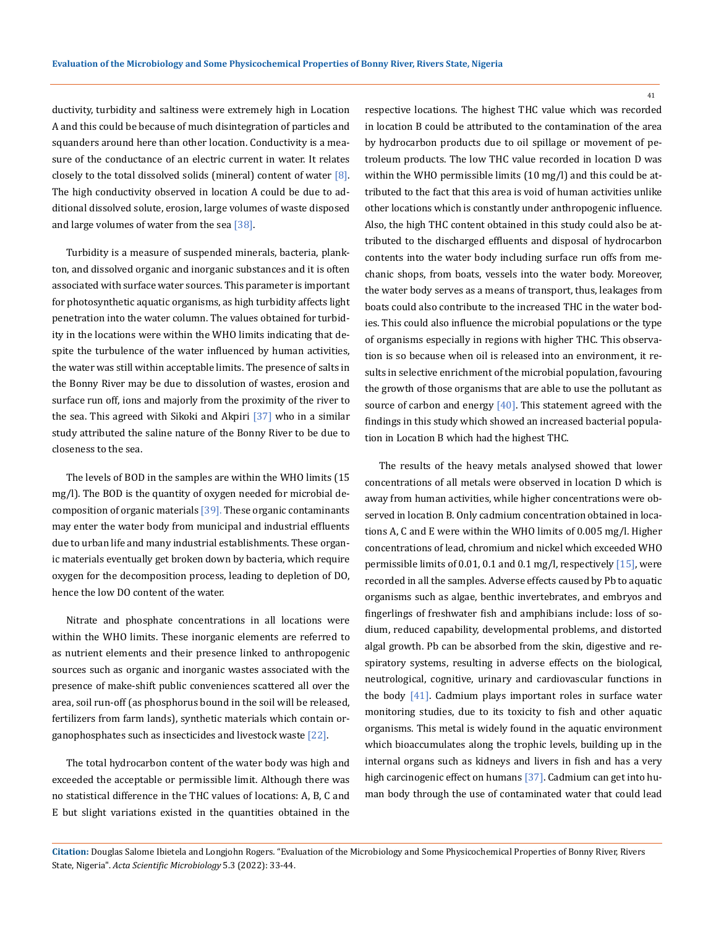ductivity, turbidity and saltiness were extremely high in Location A and this could be because of much disintegration of particles and squanders around here than other location. Conductivity is a measure of the conductance of an electric current in water. It relates closely to the total dissolved solids (mineral) content of water  $[8]$ . The high conductivity observed in location A could be due to additional dissolved solute, erosion, large volumes of waste disposed and large volumes of water from the sea [38].

Turbidity is a measure of suspended minerals, bacteria, plankton, and dissolved organic and inorganic substances and it is often associated with surface water sources. This parameter is important for photosynthetic aquatic organisms, as high turbidity affects light penetration into the water column. The values obtained for turbidity in the locations were within the WHO limits indicating that despite the turbulence of the water influenced by human activities, the water was still within acceptable limits. The presence of salts in the Bonny River may be due to dissolution of wastes, erosion and surface run off, ions and majorly from the proximity of the river to the sea. This agreed with Sikoki and Akpiri [37] who in a similar study attributed the saline nature of the Bonny River to be due to closeness to the sea.

The levels of BOD in the samples are within the WHO limits (15 mg/l). The BOD is the quantity of oxygen needed for microbial decomposition of organic materials  $[39]$ . These organic contaminants may enter the water body from municipal and industrial effluents due to urban life and many industrial establishments. These organic materials eventually get broken down by bacteria, which require oxygen for the decomposition process, leading to depletion of DO, hence the low DO content of the water.

Nitrate and phosphate concentrations in all locations were within the WHO limits. These inorganic elements are referred to as nutrient elements and their presence linked to anthropogenic sources such as organic and inorganic wastes associated with the presence of make-shift public conveniences scattered all over the area, soil run-off (as phosphorus bound in the soil will be released, fertilizers from farm lands), synthetic materials which contain organophosphates such as insecticides and livestock waste [22].

The total hydrocarbon content of the water body was high and exceeded the acceptable or permissible limit. Although there was no statistical difference in the THC values of locations: A, B, C and E but slight variations existed in the quantities obtained in the respective locations. The highest THC value which was recorded in location B could be attributed to the contamination of the area by hydrocarbon products due to oil spillage or movement of petroleum products. The low THC value recorded in location D was within the WHO permissible limits (10 mg/l) and this could be attributed to the fact that this area is void of human activities unlike other locations which is constantly under anthropogenic influence. Also, the high THC content obtained in this study could also be attributed to the discharged effluents and disposal of hydrocarbon contents into the water body including surface run offs from mechanic shops, from boats, vessels into the water body. Moreover, the water body serves as a means of transport, thus, leakages from boats could also contribute to the increased THC in the water bodies. This could also influence the microbial populations or the type of organisms especially in regions with higher THC. This observation is so because when oil is released into an environment, it results in selective enrichment of the microbial population, favouring the growth of those organisms that are able to use the pollutant as source of carbon and energy  $[40]$ . This statement agreed with the findings in this study which showed an increased bacterial population in Location B which had the highest THC.

The results of the heavy metals analysed showed that lower concentrations of all metals were observed in location D which is away from human activities, while higher concentrations were observed in location B. Only cadmium concentration obtained in locations A, C and E were within the WHO limits of 0.005 mg/l. Higher concentrations of lead, chromium and nickel which exceeded WHO permissible limits of 0.01, 0.1 and 0.1 mg/l, respectively [15], were recorded in all the samples. Adverse effects caused by Pb to aquatic organisms such as algae, benthic invertebrates, and embryos and fingerlings of freshwater fish and amphibians include: loss of sodium, reduced capability, developmental problems, and distorted algal growth. Pb can be absorbed from the skin, digestive and respiratory systems, resulting in adverse effects on the biological, neutrological, cognitive, urinary and cardiovascular functions in the body [41]. Cadmium plays important roles in surface water monitoring studies, due to its toxicity to fish and other aquatic organisms. This metal is widely found in the aquatic environment which bioaccumulates along the trophic levels, building up in the internal organs such as kidneys and livers in fish and has a very high carcinogenic effect on humans [37]. Cadmium can get into human body through the use of contaminated water that could lead

**Citation:** Douglas Salome Ibietela and Longjohn Rogers*.* "Evaluation of the Microbiology and Some Physicochemical Properties of Bonny River, Rivers State, Nigeria". *Acta Scientific Microbiology* 5.3 (2022): 33-44.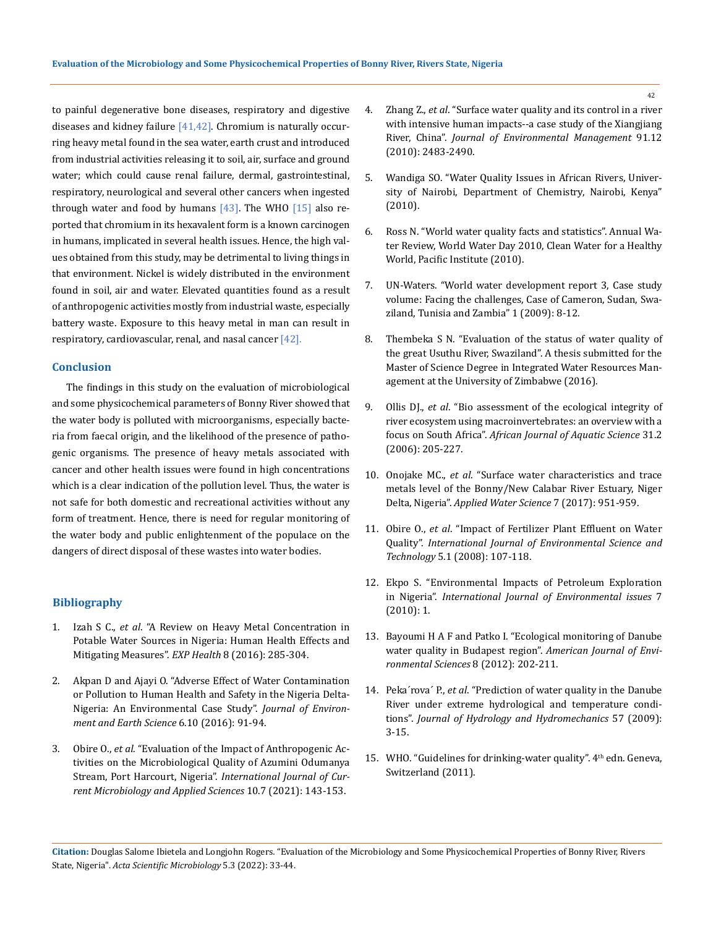to painful degenerative bone diseases, respiratory and digestive diseases and kidney failure  $[41, 42]$ . Chromium is naturally occurring heavy metal found in the sea water, earth crust and introduced from industrial activities releasing it to soil, air, surface and ground water; which could cause renal failure, dermal, gastrointestinal, respiratory, neurological and several other cancers when ingested through water and food by humans  $[43]$ . The WHO  $[15]$  also reported that chromium in its hexavalent form is a known carcinogen in humans, implicated in several health issues. Hence, the high values obtained from this study, may be detrimental to living things in that environment. Nickel is widely distributed in the environment found in soil, air and water. Elevated quantities found as a result of anthropogenic activities mostly from industrial waste, especially battery waste. Exposure to this heavy metal in man can result in respiratory, cardiovascular, renal, and nasal cancer  $[42]$ .

# **Conclusion**

The findings in this study on the evaluation of microbiological and some physicochemical parameters of Bonny River showed that the water body is polluted with microorganisms, especially bacteria from faecal origin, and the likelihood of the presence of pathogenic organisms. The presence of heavy metals associated with cancer and other health issues were found in high concentrations which is a clear indication of the pollution level. Thus, the water is not safe for both domestic and recreational activities without any form of treatment. Hence, there is need for regular monitoring of the water body and public enlightenment of the populace on the dangers of direct disposal of these wastes into water bodies.

# **Bibliography**

- 1. Izah S C., *et al*[. "A Review on Heavy Metal Concentration in](https://link.springer.com/article/10.1007/s12403-016-0195-9)  [Potable Water Sources in Nigeria: Human Health Effects and](https://link.springer.com/article/10.1007/s12403-016-0195-9)  [Mitigating Measures".](https://link.springer.com/article/10.1007/s12403-016-0195-9) *EXP Health* 8 (2016): 285-304.
- 2. [Akpan D and Ajayi O. "Adverse Effect of Water Contamination](C://Users/ActaProof/Downloads/33518-36465-1-PB.pdf)  [or Pollution to Human Health and Safety in the Nigeria Delta-](C://Users/ActaProof/Downloads/33518-36465-1-PB.pdf)[Nigeria: An Environmental Case Study".](C://Users/ActaProof/Downloads/33518-36465-1-PB.pdf) *Journal of Environ[ment and Earth Science](C://Users/ActaProof/Downloads/33518-36465-1-PB.pdf)* 6.10 (2016): 91-94.
- 3. Obire O., *et al*. "Evaluation of the Impact of Anthropogenic Activities on the Microbiological Quality of Azumini Odumanya Stream, Port Harcourt, Nigeria". *International Journal of Current Microbiology and Applied Sciences* 10.7 (2021): 143-153.
- 4. Zhang Z., *et al*[. "Surface water quality and its control in a river](https://pubmed.ncbi.nlm.nih.gov/20674147/)  [with intensive human impacts--a case study of the Xiangjiang](https://pubmed.ncbi.nlm.nih.gov/20674147/)  River, China". *[Journal of Environmental Management](https://pubmed.ncbi.nlm.nih.gov/20674147/)* 91.12 [\(2010\): 2483-2490.](https://pubmed.ncbi.nlm.nih.gov/20674147/)
- 5. Wandiga SO. "Water Quality Issues in African Rivers, University of Nairobi, Department of Chemistry, Nairobi, Kenya" (2010).
- 6. [Ross N. "World water quality facts and statistics". Annual Wa](Http://pacinst.org/reports/water_quality/water_quality_facts_and_stats.pdf)[ter Review, World Water Day 2010, Clean Water for a Healthy](Http://pacinst.org/reports/water_quality/water_quality_facts_and_stats.pdf)  [World, Pacific Institute \(2010\).](Http://pacinst.org/reports/water_quality/water_quality_facts_and_stats.pdf)
- 7. UN-Waters. "World water development report 3, Case study volume: Facing the challenges, Case of Cameron, Sudan, Swaziland, Tunisia and Zambia" 1 (2009): 8-12.
- 8. Thembeka S N. "Evaluation of the status of water quality of the great Usuthu River, Swaziland". A thesis submitted for the Master of Science Degree in Integrated Water Resources Management at the University of Zimbabwe (2016).
- 9. Ollis DJ., *et al*[. "Bio assessment of the ecological integrity of](https://www.tandfonline.com/doi/abs/10.2989/16085910609503892)  [river ecosystem using macroinvertebrates: an overview with a](https://www.tandfonline.com/doi/abs/10.2989/16085910609503892)  focus on South Africa". *[African Journal of Aquatic Science](https://www.tandfonline.com/doi/abs/10.2989/16085910609503892)* 31.2 [\(2006\): 205-227.](https://www.tandfonline.com/doi/abs/10.2989/16085910609503892)
- 10. Onojake MC., *et al*. "Surface water characteristics and trace metals level of the Bonny/New Calabar River Estuary, Niger Delta, Nigeria". *Applied Water Science* 7 (2017): 951-959.
- 11. Obire O., *et al*[. "Impact of Fertilizer Plant Effluent on Water](http://www.bioline.org.br/pdf?st08013)  Quality". *[International Journal of Environmental Science and](http://www.bioline.org.br/pdf?st08013)  Technology* [5.1 \(2008\): 107-118.](http://www.bioline.org.br/pdf?st08013)
- 12. Ekpo S. "Environmental Impacts of Petroleum Exploration in Nigeria". *International Journal of Environmental issues* 7 (2010): 1.
- 13. [Bayoumi H A F and Patko I. "Ecological monitoring of Danube](https://thescipub.com/abstract/ajessp.2012.202.211)  [water quality in Budapest region".](https://thescipub.com/abstract/ajessp.2012.202.211) *American Journal of Envi[ronmental Sciences](https://thescipub.com/abstract/ajessp.2012.202.211)* 8 (2012): 202-211.
- 14. Peka´rova´ P., *et al*[. "Prediction of water quality in the Danube](https://www.researchgate.net/publication/40622246_Prediction_of_Water_Quality_in_the_Danube_River_Under_extreme_Hydrological_and_Temperature_Conditions)  [River under extreme hydrological and temperature condi](https://www.researchgate.net/publication/40622246_Prediction_of_Water_Quality_in_the_Danube_River_Under_extreme_Hydrological_and_Temperature_Conditions)tions". *[Journal of Hydrology and Hydromechanics](https://www.researchgate.net/publication/40622246_Prediction_of_Water_Quality_in_the_Danube_River_Under_extreme_Hydrological_and_Temperature_Conditions)* 57 (2009): [3-15.](https://www.researchgate.net/publication/40622246_Prediction_of_Water_Quality_in_the_Danube_River_Under_extreme_Hydrological_and_Temperature_Conditions)
- 15. WHO. "Guidelines for drinking-water quality". 4<sup>th</sup> edn. Geneva, Switzerland (2011).

**Citation:** Douglas Salome Ibietela and Longjohn Rogers*.* "Evaluation of the Microbiology and Some Physicochemical Properties of Bonny River, Rivers State, Nigeria". *Acta Scientific Microbiology* 5.3 (2022): 33-44.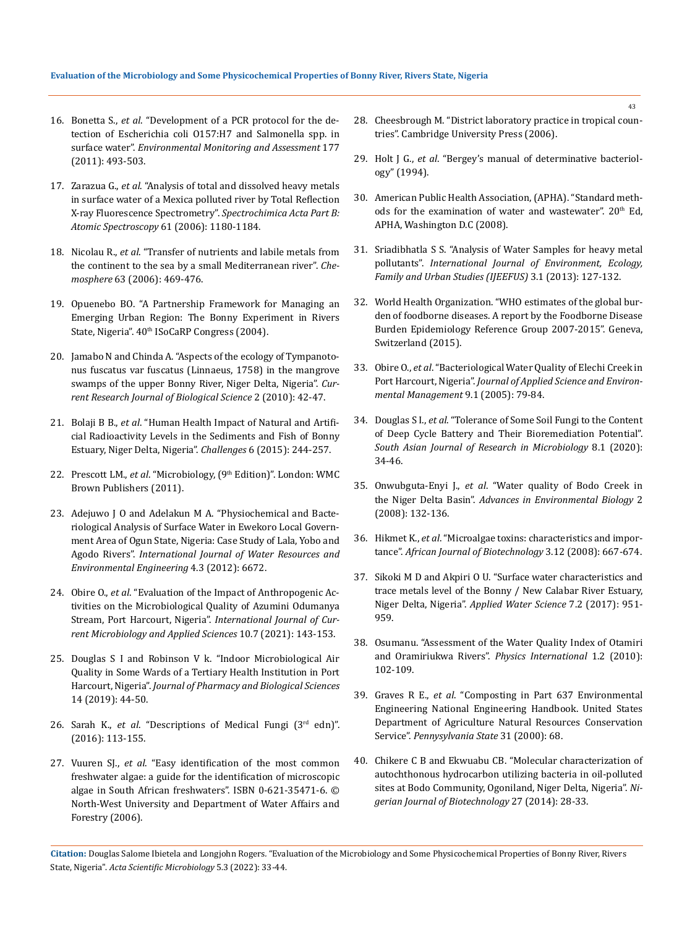- 16. Bonetta S., *et al*. "Development of a PCR protocol for the detection of Escherichia coli O157:H7 and Salmonella spp. in surface water". *Environmental Monitoring and Assessment* 177 (2011): 493-503.
- 17. Zarazua G., *et al*[. "Analysis of total and dissolved heavy metals](https://www.researchgate.net/publication/229408103_Analysis_of_total_and_dissolved_heavy_metals_in_surface_water_of_a_Mexican_polluted_river_by_total_reflection_X-ray_fluorescence_spectrometry)  [in surface water of a Mexica polluted river by Total Reflection](https://www.researchgate.net/publication/229408103_Analysis_of_total_and_dissolved_heavy_metals_in_surface_water_of_a_Mexican_polluted_river_by_total_reflection_X-ray_fluorescence_spectrometry)  [X-ray Fluorescence Spectrometry".](https://www.researchgate.net/publication/229408103_Analysis_of_total_and_dissolved_heavy_metals_in_surface_water_of_a_Mexican_polluted_river_by_total_reflection_X-ray_fluorescence_spectrometry) *Spectrochimica Acta Part B: [Atomic Spectroscopy](https://www.researchgate.net/publication/229408103_Analysis_of_total_and_dissolved_heavy_metals_in_surface_water_of_a_Mexican_polluted_river_by_total_reflection_X-ray_fluorescence_spectrometry)* 61 (2006): 1180-1184.
- 18. Nicolau R., *et al*[. "Transfer of nutrients and labile metals from](https://pubmed.ncbi.nlm.nih.gov/16213558/)  [the continent to the sea by a small Mediterranean river".](https://pubmed.ncbi.nlm.nih.gov/16213558/) *Chemosphere* [63 \(2006\): 469-476.](https://pubmed.ncbi.nlm.nih.gov/16213558/)
- 19. Opuenebo BO. "A Partnership Framework for Managing an Emerging Urban Region: The Bonny Experiment in Rivers State, Nigeria". 40<sup>th</sup> ISoCaRP Congress (2004).
- 20. [Jamabo N and Chinda A. "Aspects of the ecology of Tympanoto](https://www.researchgate.net/publication/42831795_Aspects_of_the_Ecology_of_Tympanotonus_fuscatus_var_fuscatus_Linnaeus_1758_in_the_Mangrove_Swamps_of_the_Upper_Bonny_River_Niger_Delta_Nigeria)[nus fuscatus var fuscatus \(Linnaeus, 1758\) in the mangrove](https://www.researchgate.net/publication/42831795_Aspects_of_the_Ecology_of_Tympanotonus_fuscatus_var_fuscatus_Linnaeus_1758_in_the_Mangrove_Swamps_of_the_Upper_Bonny_River_Niger_Delta_Nigeria)  [swamps of the upper Bonny River, Niger Delta, Nigeria".](https://www.researchgate.net/publication/42831795_Aspects_of_the_Ecology_of_Tympanotonus_fuscatus_var_fuscatus_Linnaeus_1758_in_the_Mangrove_Swamps_of_the_Upper_Bonny_River_Niger_Delta_Nigeria) *Cur[rent Research Journal of Biological Science](https://www.researchgate.net/publication/42831795_Aspects_of_the_Ecology_of_Tympanotonus_fuscatus_var_fuscatus_Linnaeus_1758_in_the_Mangrove_Swamps_of_the_Upper_Bonny_River_Niger_Delta_Nigeria)* 2 (2010): 42-47.
- 21. Bolaji B B., *et al*[. "Human Health Impact of Natural and Artifi](https://www.mdpi.com/2078-1547/6/2/244)[cial Radioactivity Levels in the Sediments and Fish of Bonny](https://www.mdpi.com/2078-1547/6/2/244)  [Estuary, Niger Delta, Nigeria".](https://www.mdpi.com/2078-1547/6/2/244) *Challenges* 6 (2015): 244-257.
- 22. Prescott LM., *et al*. "Microbiology, (9th Edition)". London: WMC Brown Publishers (2011).
- 23. [Adejuwo J O and Adelakun M A. "Physiochemical and Bacte](https://academicjournals.org/article/article1379510335_Adejuwon%20and%20Adelakun.pdf)[riological Analysis of Surface Water in Ewekoro Local Govern](https://academicjournals.org/article/article1379510335_Adejuwon%20and%20Adelakun.pdf)[ment Area of Ogun State, Nigeria: Case Study of Lala, Yobo and](https://academicjournals.org/article/article1379510335_Adejuwon%20and%20Adelakun.pdf)  Agodo Rivers". *[International Journal of Water Resources and](https://academicjournals.org/article/article1379510335_Adejuwon%20and%20Adelakun.pdf)  [Environmental Engineering](https://academicjournals.org/article/article1379510335_Adejuwon%20and%20Adelakun.pdf)* 4.3 (2012): 6672.
- 24. Obire O., *et al*. "Evaluation of the Impact of Anthropogenic Activities on the Microbiological Quality of Azumini Odumanya Stream, Port Harcourt, Nigeria". *International Journal of Current Microbiology and Applied Sciences* 10.7 (2021): 143-153.
- 25. [Douglas S I and Robinson V k. "Indoor Microbiological Air](https://www.researchgate.net/publication/331178453_Indoor_Microbiological_Air_Quality_in_Some_Wards_of_a_Tertiary_Health_Institution_in_Port_Harcourt_Nigeria)  [Quality in Some Wards of a Tertiary Health Institution in Port](https://www.researchgate.net/publication/331178453_Indoor_Microbiological_Air_Quality_in_Some_Wards_of_a_Tertiary_Health_Institution_in_Port_Harcourt_Nigeria)  Harcourt, Nigeria". *[Journal of Pharmacy and Biological Sciences](https://www.researchgate.net/publication/331178453_Indoor_Microbiological_Air_Quality_in_Some_Wards_of_a_Tertiary_Health_Institution_in_Port_Harcourt_Nigeria)* [14 \(2019\): 44-50.](https://www.researchgate.net/publication/331178453_Indoor_Microbiological_Air_Quality_in_Some_Wards_of_a_Tertiary_Health_Institution_in_Port_Harcourt_Nigeria)
- 26. Sarah K., *et al*. "Descriptions of Medical Fungi (3rd edn)". (2016): 113-155.
- 27. Vuuren SJ., *et al*. "Easy identification of the most common freshwater algae: a guide for the identification of microscopic algae in South African freshwaters". ISBN 0-621-35471-6. © North-West University and Department of Water Affairs and Forestry (2006).
- 28. Cheesbrough M. "District laboratory practice in tropical countries". Cambridge University Press (2006).
- 29. Holt J G., *et al*. "Bergey's manual of determinative bacteriology" (1994).
- 30. American Public Health Association, (APHA). "Standard methods for the examination of water and wastewater". 20<sup>th</sup> Ed, APHA, Washington D.C (2008).
- 31. Sriadibhatla S S. "Analysis of Water Samples for heavy metal pollutants". *International Journal of Environment, Ecology, Family and Urban Studies (IJEEFUS)* 3.1 (2013): 127-132.
- 32. World Health Organization. "WHO estimates of the global burden of foodborne diseases. A report by the Foodborne Disease Burden Epidemiology Reference Group 2007-2015". Geneva, Switzerland (2015).
- 33. Obire O., *et al*[. "Bacteriological Water Quality of Elechi Creek in](https://www.researchgate.net/publication/257526955_Bacteriological_Water_Quality_of_Elechi_Creek_in_Port_Harcourt_J_Appl_Environ_Mgt_91_79_-_84)  Port Harcourt, Nigeria". *[Journal of Applied Science and Environ](https://www.researchgate.net/publication/257526955_Bacteriological_Water_Quality_of_Elechi_Creek_in_Port_Harcourt_J_Appl_Environ_Mgt_91_79_-_84)[mental Management](https://www.researchgate.net/publication/257526955_Bacteriological_Water_Quality_of_Elechi_Creek_in_Port_Harcourt_J_Appl_Environ_Mgt_91_79_-_84)* 9.1 (2005): 79-84.
- 34. Douglas S I., *et al*[. "Tolerance of Some Soil Fungi to the Content](https://www.researchgate.net/publication/347111810_Tolerance_of_Some_Soil_Fungi_to_the_Content_of_Deep_Cycle_Battery_and_Their_Bioremediation_Potential)  [of Deep Cycle Battery and Their Bioremediation Potential".](https://www.researchgate.net/publication/347111810_Tolerance_of_Some_Soil_Fungi_to_the_Content_of_Deep_Cycle_Battery_and_Their_Bioremediation_Potential)  *[South Asian Journal of Research in Microbiology](https://www.researchgate.net/publication/347111810_Tolerance_of_Some_Soil_Fungi_to_the_Content_of_Deep_Cycle_Battery_and_Their_Bioremediation_Potential)* 8.1 (2020): [34-46.](https://www.researchgate.net/publication/347111810_Tolerance_of_Some_Soil_Fungi_to_the_Content_of_Deep_Cycle_Battery_and_Their_Bioremediation_Potential)
- 35. Onwubguta-Enyi J., *et al*[. "Water quality of Bodo Creek in](https://www.researchgate.net/publication/242404239_Water_Quality_of_Bodo_Creek_in_the_Lower_Niger_Delta_Basin)  the Niger Delta Basin". *[Advances in Environmental Biology](https://www.researchgate.net/publication/242404239_Water_Quality_of_Bodo_Creek_in_the_Lower_Niger_Delta_Basin)* 2 [\(2008\): 132-136.](https://www.researchgate.net/publication/242404239_Water_Quality_of_Bodo_Creek_in_the_Lower_Niger_Delta_Basin)
- 36. Hikmet K., *et al*[. "Microalgae toxins: characteristics and impor](https://www.ajol.info/index.php/ajb/article/view/15036)tance". *[African Journal of Biotechnology](https://www.ajol.info/index.php/ajb/article/view/15036)* 3.12 (2008): 667-674.
- 37. Sikoki M D and Akpiri O U. "Surface water characteristics and trace metals level of the Bonny / New Calabar River Estuary, Niger Delta, Nigeria". *Applied Water Science* 7.2 (2017): 951- 959.
- 38. [Osumanu. "Assessment of the Water Quality Index of Otamiri](https://thescipub.com/pdf/pisp.2010.102.109.pdf)  [and Oramiriukwa Rivers".](https://thescipub.com/pdf/pisp.2010.102.109.pdf) *Physics International* 1.2 (2010): [102-109.](https://thescipub.com/pdf/pisp.2010.102.109.pdf)
- 39. Graves R E., *et al*. "Composting in Part 637 Environmental Engineering National Engineering Handbook. United States Department of Agriculture Natural Resources Conservation Service". *Pennysylvania State* 31 (2000): 68.
- 40. Chikere C B and Ekwuabu CB. "Molecular characterization of autochthonous hydrocarbon utilizing bacteria in oil-polluted sites at Bodo Community, Ogoniland, Niger Delta, Nigeria". *Nigerian Journal of Biotechnology* 27 (2014): 28-33.

**Citation:** Douglas Salome Ibietela and Longjohn Rogers*.* "Evaluation of the Microbiology and Some Physicochemical Properties of Bonny River, Rivers State, Nigeria". *Acta Scientific Microbiology* 5.3 (2022): 33-44.